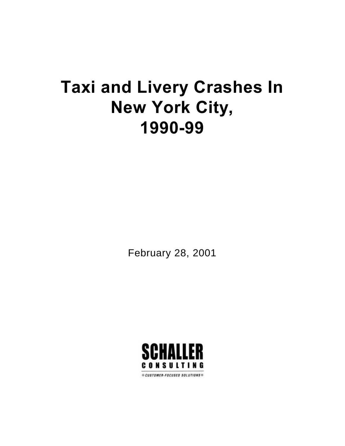# **Taxi and Livery Crashes In New York City, 1990-99**

February 28, 2001

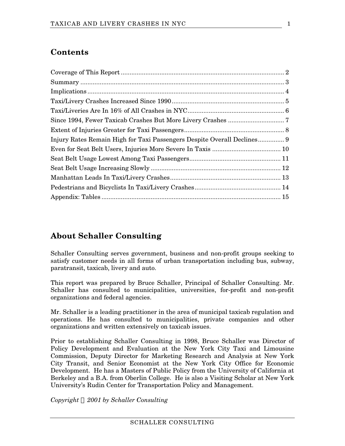## **Contents**

## **About Schaller Consulting**

Schaller Consulting serves government, business and non-profit groups seeking to satisfy customer needs in all forms of urban transportation including bus, subway, paratransit, taxicab, livery and auto.

This report was prepared by Bruce Schaller, Principal of Schaller Consulting. Mr. Schaller has consulted to municipalities, universities, for-profit and non-profit organizations and federal agencies.

Mr. Schaller is a leading practitioner in the area of municipal taxicab regulation and operations. He has consulted to municipalities, private companies and other organizations and written extensively on taxicab issues.

Prior to establishing Schaller Consulting in 1998, Bruce Schaller was Director of Policy Development and Evaluation at the New York City Taxi and Limousine Commission, Deputy Director for Marketing Research and Analysis at New York City Transit, and Senior Economist at the New York City Office for Economic Development. He has a Masters of Public Policy from the University of California at Berkeley and a B.A. from Oberlin College. He is also a Visiting Scholar at New York University's Rudin Center for Transportation Policy and Management.

*Copyright Ó 2001 by Schaller Consulting*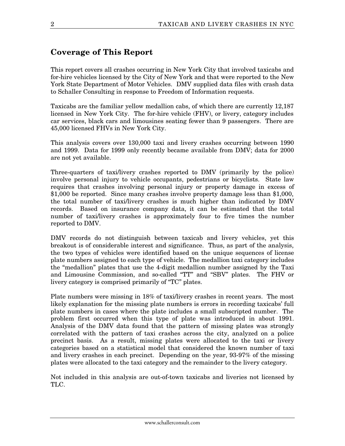## **Coverage of This Report**

This report covers all crashes occurring in New York City that involved taxicabs and for-hire vehicles licensed by the City of New York and that were reported to the New York State Department of Motor Vehicles. DMV supplied data files with crash data to Schaller Consulting in response to Freedom of Information requests.

Taxicabs are the familiar yellow medallion cabs, of which there are currently 12,187 licensed in New York City. The for-hire vehicle (FHV), or livery, category includes car services, black cars and limousines seating fewer than 9 passengers. There are 45,000 licensed FHVs in New York City.

This analysis covers over 130,000 taxi and livery crashes occurring between 1990 and 1999. Data for 1999 only recently became available from DMV; data for 2000 are not yet available.

Three-quarters of taxi/livery crashes reported to DMV (primarily by the police) involve personal injury to vehicle occupants, pedestrians or bicyclists. State law requires that crashes involving personal injury or property damage in excess of \$1,000 be reported. Since many crashes involve property damage less than \$1,000, the total number of taxi/livery crashes is much higher than indicated by DMV records. Based on insurance company data, it can be estimated that the total number of taxi/livery crashes is approximately four to five times the number reported to DMV.

DMV records do not distinguish between taxicab and livery vehicles, yet this breakout is of considerable interest and significance. Thus, as part of the analysis, the two types of vehicles were identified based on the unique sequences of license plate numbers assigned to each type of vehicle. The medallion taxi category includes the "medallion" plates that use the 4-digit medallion number assigned by the Taxi and Limousine Commission, and so-called "TT" and "SBV" plates. The FHV or livery category is comprised primarily of "TC" plates.

Plate numbers were missing in 18% of taxi/livery crashes in recent years. The most likely explanation for the missing plate numbers is errors in recording taxicabs' full plate numbers in cases where the plate includes a small subscripted number. The problem first occurred when this type of plate was introduced in about 1991. Analysis of the DMV data found that the pattern of missing plates was strongly correlated with the pattern of taxi crashes across the city, analyzed on a police precinct basis. As a result, missing plates were allocated to the taxi or livery categories based on a statistical model that considered the known number of taxi and livery crashes in each precinct. Depending on the year, 93-97% of the missing plates were allocated to the taxi category and the remainder to the livery category.

Not included in this analysis are out-of-town taxicabs and liveries not licensed by TLC.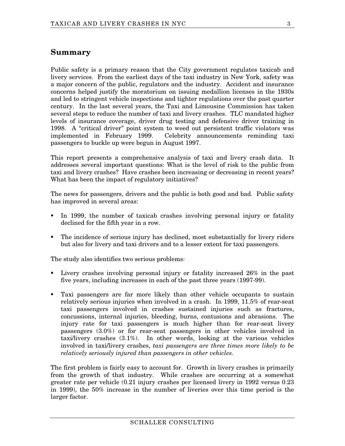#### **Summary**

Public safety is a primary reason that the City government regulates taxicab and livery services. From the earliest days of the taxi industry in New York, safety was a major concern of the public, regulators and the industry. Accident and insurance concerns helped justify the moratorium on issuing medallion licenses in the 1930s and led to stringent vehicle inspections and tighter regulations over the past quarter century. In the last several years, the Taxi and Limousine Commission has taken several steps to reduce the number of taxi and livery crashes. TLC mandated higher levels of insurance coverage, driver drug testing and defensive driver training in 1998. A "critical driver" point system to weed out persistent traffic violators was implemented in February 1999. Celebrity announcements reminding taxi passengers to buckle up were begun in August 1997.

This report presents a comprehensive analysis of taxi and livery crash data. It addresses several important questions: What is the level of risk to the public from taxi and livery crashes? Have crashes been increasing or decreasing in recent years? What has been the impact of regulatory initiatives?

The news for passengers, drivers and the public is both good and bad. Public safety has improved in several areas:

- ß In 1999, the number of taxicab crashes involving personal injury or fatality declined for the fifth year in a row.
- The incidence of serious injury has declined, most substantially for livery riders but also for livery and taxi drivers and to a lesser extent for taxi passengers.

The study also identifies two serious problems:

- ß Livery crashes involving personal injury or fatality increased 26% in the past five years, including increases in each of the past three years (1997-99).
- ß Taxi passengers are far more likely than other vehicle occupants to sustain relatively serious injuries when involved in a crash. In 1999, 11.5% of rear-seat taxi passengers involved in crashes sustained injuries such as fractures, concussions, internal injuries, bleeding, burns, contusions and abrasions. The injury rate for taxi passengers is much higher than for rear-seat livery passengers (3.0%) or for rear-seat passengers in other vehicles involved in taxi/livery crashes (3.1%). In other words, looking at the various vehicles involved in taxi/livery crashes, *taxi passengers are three times more likely to be relatively seriously injured than passengers in other vehicles*.

The first problem is fairly easy to account for. Growth in livery crashes is primarily from the growth of that industry. While crashes are occurring at a somewhat greater rate per vehicle (0.21 injury crashes per licensed livery in 1992 versus 0.23 in 1999), the 50% increase in the number of liveries over this time period is the larger factor.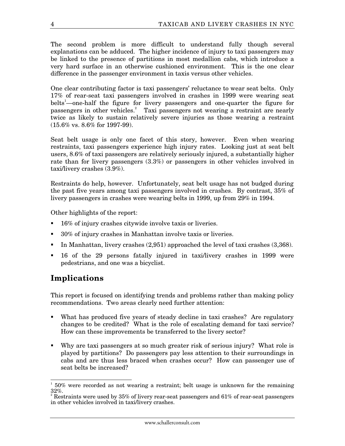The second problem is more difficult to understand fully though several explanations can be adduced. The higher incidence of injury to taxi passengers may be linked to the presence of partitions in most medallion cabs, which introduce a very hard surface in an otherwise cushioned environment. This is the one clear difference in the passenger environment in taxis versus other vehicles.

One clear contributing factor is taxi passengers' reluctance to wear seat belts. Only 17% of rear-seat taxi passengers involved in crashes in 1999 were wearing seat belts<sup>1</sup>—one-half the figure for livery passengers and one-quarter the figure for passengers in other vehicles.<sup>2</sup> Taxi passengers not wearing a restraint are nearly twice as likely to sustain relatively severe injuries as those wearing a restraint (15.6% vs. 8.6% for 1997-99).

Seat belt usage is only one facet of this story, however. Even when wearing restraints, taxi passengers experience high injury rates. Looking just at seat belt users, 8.6% of taxi passengers are relatively seriously injured, a substantially higher rate than for livery passengers (3.3%) or passengers in other vehicles involved in taxi/livery crashes (3.9%).

Restraints do help, however. Unfortunately, seat belt usage has not budged during the past five years among taxi passengers involved in crashes. By contrast, 35% of livery passengers in crashes were wearing belts in 1999, up from 29% in 1994.

Other highlights of the report:

- ß 16% of injury crashes citywide involve taxis or liveries.
- ß 30% of injury crashes in Manhattan involve taxis or liveries.
- In Manhattan, livery crashes  $(2,951)$  approached the level of taxi crashes  $(3,368)$ .
- ß 16 of the 29 persons fatally injured in taxi/livery crashes in 1999 were pedestrians, and one was a bicyclist.

## **Implications**

This report is focused on identifying trends and problems rather than making policy recommendations. Two areas clearly need further attention:

- What has produced five years of steady decline in taxi crashes? Are regulatory changes to be credited? What is the role of escalating demand for taxi service? How can these improvements be transferred to the livery sector?
- ß Why are taxi passengers at so much greater risk of serious injury? What role is played by partitions? Do passengers pay less attention to their surroundings in cabs and are thus less braced when crashes occur? How can passenger use of seat belts be increased?

 $\overline{a}$ 1 50% were recorded as not wearing a restraint; belt usage is unknown for the remaining  $32\%$ .

Restraints were used by 35% of livery rear-seat passengers and 61% of rear-seat passengers in other vehicles involved in taxi/livery crashes.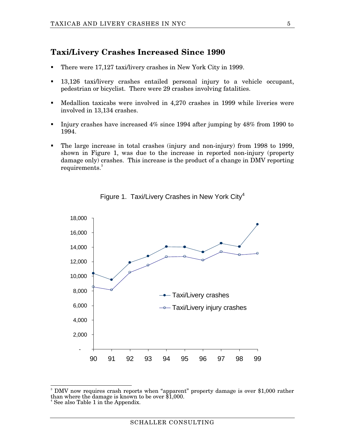#### **Taxi/Livery Crashes Increased Since 1990**

- ß There were 17,127 taxi/livery crashes in New York City in 1999.
- ß 13,126 taxi/livery crashes entailed personal injury to a vehicle occupant, pedestrian or bicyclist. There were 29 crashes involving fatalities.
- **Medallion taxicabs were involved in 4,270 crashes in 1999 while liveries were** involved in 13,134 crashes.
- Injury crashes have increased  $4\%$  since 1994 after jumping by  $48\%$  from 1990 to 1994.
- ß The large increase in total crashes (injury and non-injury) from 1998 to 1999, shown in Figure 1, was due to the increase in reported non-injury (property damage only) crashes. This increase is the product of a change in DMV reporting  $requirements.<sup>3</sup>$





 3 DMV now requires crash reports when "apparent" property damage is over \$1,000 rather than where the damage is known to be over \$1,000. 4 See also Table 1 in the Appendix.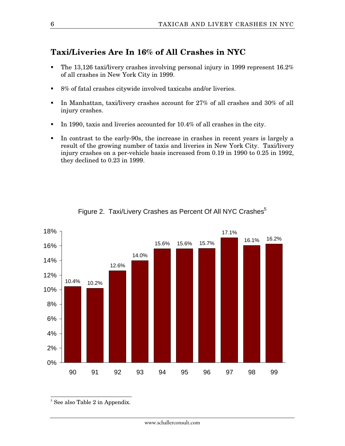#### **Taxi/Liveries Are In 16% of All Crashes in NYC**

- The 13,126 taxi/livery crashes involving personal injury in 1999 represent  $16.2\%$ of all crashes in New York City in 1999.
- **8%** of fatal crashes citywide involved taxicabs and/or liveries.
- In Manhattan, taxi/livery crashes account for 27% of all crashes and 30% of all injury crashes.
- In 1990, taxis and liveries accounted for  $10.4\%$  of all crashes in the city.
- In contrast to the early-90s, the increase in crashes in recent years is largely a result of the growing number of taxis and liveries in New York City. Taxi/livery injury crashes on a per-vehicle basis increased from 0.19 in 1990 to 0.25 in 1992, they declined to 0.23 in 1999.



Figure 2. Taxi/Livery Crashes as Percent Of All NYC Crashes<sup>5</sup>

<sup>5</sup> See also Table 2 in Appendix.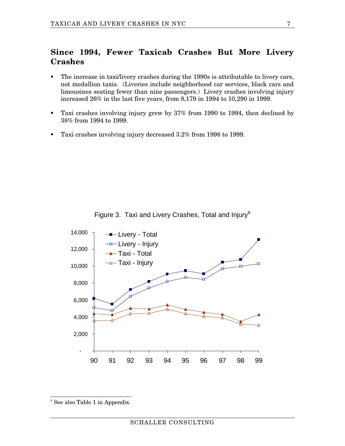#### **Since 1994, Fewer Taxicab Crashes But More Livery Crashes**

- The increase in taxi/livery crashes during the 1990s is attributable to livery cars, not medallion taxis. (Liveries include neighborhood car services, black cars and limousines seating fewer than nine passengers.) Livery crashes involving injury increased 26% in the last five years, from 8,179 in 1994 to 10,290 in 1999.
- ß Taxi crashes involving injury grew by 37% from 1990 to 1994, then declined by 38% from 1994 to 1999.
- Taxi crashes involving injury decreased 3.2% from 1998 to 1999.



Figure 3. Taxi and Livery Crashes, Total and Injury<sup>6</sup>

<sup>&</sup>lt;sup>6</sup> See also Table 1 in Appendix.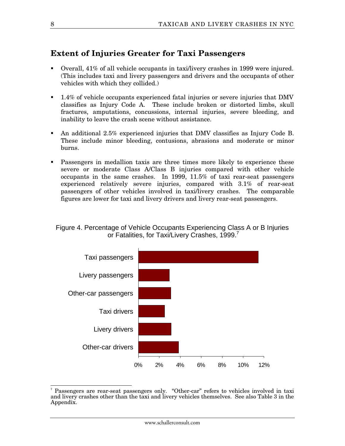#### **Extent of Injuries Greater for Taxi Passengers**

- ß Overall, 41% of all vehicle occupants in taxi/livery crashes in 1999 were injured. (This includes taxi and livery passengers and drivers and the occupants of other vehicles with which they collided.)
- ß 1.4% of vehicle occupants experienced fatal injuries or severe injuries that DMV classifies as Injury Code A. These include broken or distorted limbs, skull fractures, amputations, concussions, internal injuries, severe bleeding, and inability to leave the crash scene without assistance.
- ß An additional 2.5% experienced injuries that DMV classifies as Injury Code B. These include minor bleeding, contusions, abrasions and moderate or minor burns.
- **EXECUTE:** Passengers in medallion taxis are three times more likely to experience these severe or moderate Class A/Class B injuries compared with other vehicle occupants in the same crashes. In 1999, 11.5% of taxi rear-seat passengers experienced relatively severe injuries, compared with 3.1% of rear-seat passengers of other vehicles involved in taxi/livery crashes. The comparable figures are lower for taxi and livery drivers and livery rear-seat passengers.

#### Figure 4. Percentage of Vehicle Occupants Experiencing Class A or B Injuries or Fatalities, for Taxi/Livery Crashes, 1999.<sup>7</sup>



 $\overline{a}$ 7 Passengers are rear-seat passengers only. "Other-car" refers to vehicles involved in taxi and livery crashes other than the taxi and livery vehicles themselves. See also Table 3 in the Appendix.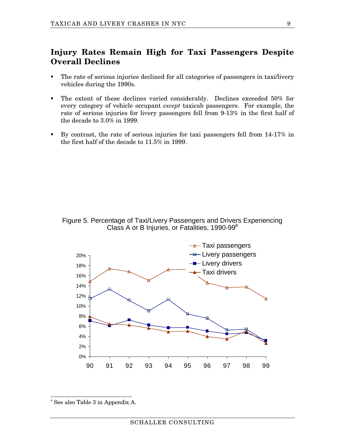#### **Injury Rates Remain High for Taxi Passengers Despite Overall Declines**

- The rate of serious injuries declined for all categories of passengers in taxi/livery vehicles during the 1990s.
- The extent of these declines varied considerably. Declines exceeded 50% for every category of vehicle occupant *except* taxicab passengers. For example, the rate of serious injuries for livery passengers fell from 9-13% in the first half of the decade to 3.0% in 1999.
- By contrast, the rate of serious injuries for taxi passengers fell from  $14-17\%$  in the first half of the decade to 11.5% in 1999.





<sup>&</sup>lt;sup>8</sup> See also Table 3 in Appendix A.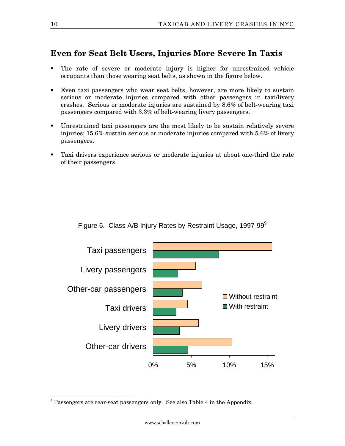## **Even for Seat Belt Users, Injuries More Severe In Taxis**

- The rate of severe or moderate injury is higher for unrestrained vehicle occupants than those wearing seat belts, as shown in the figure below.
- ß Even taxi passengers who wear seat belts, however, are more likely to sustain serious or moderate injuries compared with other passengers in taxi/livery crashes. Serious or moderate injuries are sustained by 8.6% of belt-wearing taxi passengers compared with 3.3% of belt-wearing livery passengers.
- ß Unrestrained taxi passengers are the most likely to be sustain relatively severe injuries; 15.6% sustain serious or moderate injuries compared with 5.6% of livery passengers.
- ß Taxi drivers experience serious or moderate injuries at about one-third the rate of their passengers.



Figure 6. Class A/B Injury Rates by Restraint Usage, 1997-99<sup>9</sup>

 9 Passengers are rear-seat passengers only. See also Table 4 in the Appendix.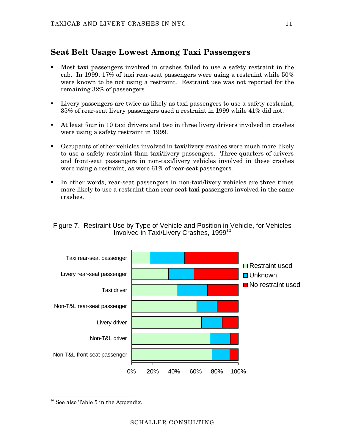## **Seat Belt Usage Lowest Among Taxi Passengers**

- ß Most taxi passengers involved in crashes failed to use a safety restraint in the cab. In 1999, 17% of taxi rear-seat passengers were using a restraint while 50% were known to be not using a restraint. Restraint use was not reported for the remaining 32% of passengers.
- ß Livery passengers are twice as likely as taxi passengers to use a safety restraint; 35% of rear-seat livery passengers used a restraint in 1999 while 41% did not.
- ß At least four in 10 taxi drivers and two in three livery drivers involved in crashes were using a safety restraint in 1999.
- **•** Occupants of other vehicles involved in taxi/livery crashes were much more likely to use a safety restraint than taxi/livery passengers. Three-quarters of drivers and front-seat passengers in non-taxi/livery vehicles involved in these crashes were using a restraint, as were 61% of rear-seat passengers.
- In other words, rear-seat passengers in non-taxi/livery vehicles are three times more likely to use a restraint than rear-seat taxi passengers involved in the same crashes.

#### Figure 7. Restraint Use by Type of Vehicle and Position in Vehicle, for Vehicles Involved in Taxi/Livery Crashes, 1999<sup>10</sup>



 $\overline{1}$ <sup>10</sup> See also Table 5 in the Appendix.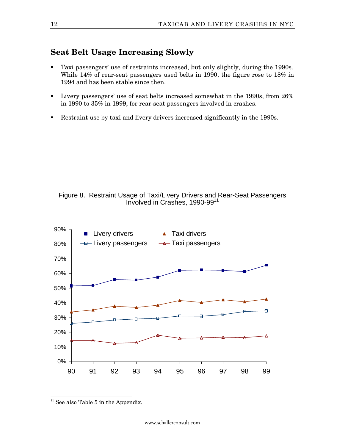#### **Seat Belt Usage Increasing Slowly**

- ß Taxi passengers' use of restraints increased, but only slightly, during the 1990s. While 14% of rear-seat passengers used belts in 1990, the figure rose to 18% in 1994 and has been stable since then.
- **Livery passengers' use of seat belts increased somewhat in the 1990s, from 26%** in 1990 to 35% in 1999, for rear-seat passengers involved in crashes.
- Restraint use by taxi and livery drivers increased significantly in the 1990s.





 $\overline{1}$  $11$  See also Table 5 in the Appendix.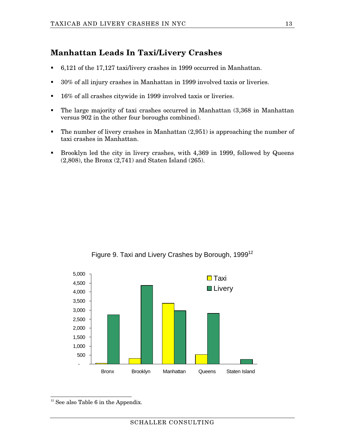## **Manhattan Leads In Taxi/Livery Crashes**

- ß 6,121 of the 17,127 taxi/livery crashes in 1999 occurred in Manhattan.
- ß 30% of all injury crashes in Manhattan in 1999 involved taxis or liveries.
- **16% of all crashes citywide in 1999 involved taxis or liveries.**
- The large majority of taxi crashes occurred in Manhattan  $(3,368)$  in Manhattan versus 902 in the other four boroughs combined).
- **The number of livery crashes in Manhattan**  $(2,951)$  **is approaching the number of** taxi crashes in Manhattan.
- **Brooklyn led the city in livery crashes, with 4,369 in 1999, followed by Queens** (2,808), the Bronx (2,741) and Staten Island (265).



Figure 9. Taxi and Livery Crashes by Borough, 1999<sup>12</sup>

 $\overline{1}$  $12$  See also Table 6 in the Appendix.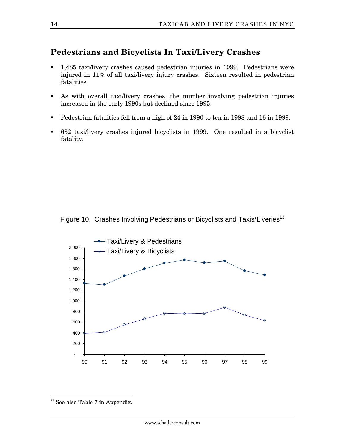## **Pedestrians and Bicyclists In Taxi/Livery Crashes**

- ß 1,485 taxi/livery crashes caused pedestrian injuries in 1999. Pedestrians were injured in 11% of all taxi/livery injury crashes. Sixteen resulted in pedestrian fatalities.
- ß As with overall taxi/livery crashes, the number involving pedestrian injuries increased in the early 1990s but declined since 1995.
- Pedestrian fatalities fell from a high of 24 in 1990 to ten in 1998 and 16 in 1999.
- ß 632 taxi/livery crashes injured bicyclists in 1999. One resulted in a bicyclist fatality.

Figure 10. Crashes Involving Pedestrians or Bicyclists and Taxis/Liveries<sup>13</sup>



 $\overline{1}$ <sup>13</sup> See also Table 7 in Appendix.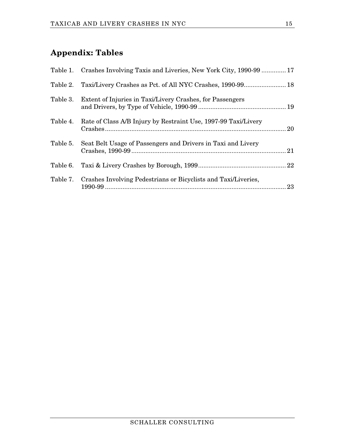## **Appendix: Tables**

|          | Table 1. Crashes Involving Taxis and Liveries, New York City, 1990-99  17 |    |
|----------|---------------------------------------------------------------------------|----|
|          |                                                                           |    |
|          | Table 3. Extent of Injuries in Taxi/Livery Crashes, for Passengers        |    |
| Table 4. | Rate of Class A/B Injury by Restraint Use, 1997-99 Taxi/Livery            |    |
| Table 5. | Seat Belt Usage of Passengers and Drivers in Taxi and Livery              |    |
| Table 6. |                                                                           |    |
|          | Table 7. Crashes Involving Pedestrians or Bicyclists and Taxi/Liveries,   | 23 |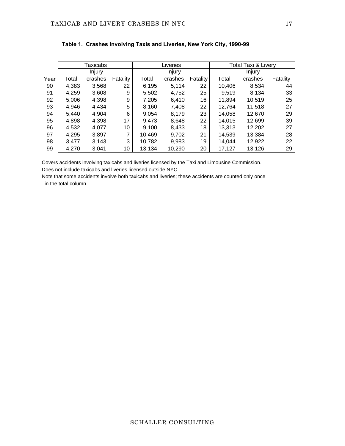|      | Taxicabs |         |          | Liveries |         |          | <b>Total Taxi &amp; Livery</b> |         |          |
|------|----------|---------|----------|----------|---------|----------|--------------------------------|---------|----------|
|      |          | Injury  |          |          | Injury  |          |                                | Injury  |          |
| Year | Total    | crashes | Fatality | Total    | crashes | Fatality | Total                          | crashes | Fatality |
| 90   | 4,383    | 3,568   | 22       | 6,195    | 5.114   | 22       | 10,406                         | 8,534   | 44       |
| 91   | 4,259    | 3.608   | 9        | 5,502    | 4,752   | 25       | 9,519                          | 8.134   | 33       |
| 92   | 5,006    | 4,398   | 9        | 7,205    | 6,410   | 16       | 11,894                         | 10,519  | 25       |
| 93   | 4,946    | 4,434   | 5        | 8,160    | 7.408   | 22       | 12,764                         | 11.518  | 27       |
| 94   | 5.440    | 4.904   | 6        | 9.054    | 8.179   | 23       | 14.058                         | 12.670  | 29       |
| 95   | 4,898    | 4,398   | 17       | 9,473    | 8,648   | 22       | 14,015                         | 12,699  | 39       |
| 96   | 4,532    | 4.077   | 10       | 9.100    | 8,433   | 18       | 13,313                         | 12,202  | 27       |
| 97   | 4,295    | 3,897   | 7        | 10,469   | 9,702   | 21       | 14,539                         | 13.384  | 28       |
| 98   | 3.477    | 3,143   | 3        | 10.782   | 9.983   | 19       | 14.044                         | 12,922  | 22       |
| 99   | 4,270    | 3,041   | 10       | 13,134   | 10,290  | 20       | 17,127                         | 13,126  | 29       |

|  |  |  | Table 1.  Crashes Involving Taxis and Liveries, New York City, 1990-99 |  |  |
|--|--|--|------------------------------------------------------------------------|--|--|
|--|--|--|------------------------------------------------------------------------|--|--|

Covers accidents involving taxicabs and liveries licensed by the Taxi and Limousine Commission. Does not include taxicabs and liveries licensed outside NYC.

Note that some accidents involve both taxicabs and liveries; these accidents are counted only once in the total column.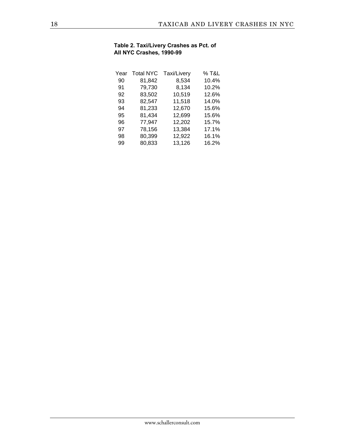#### **Table 2. Taxi/Livery Crashes as Pct. of All NYC Crashes, 1990-99**

| Year | <b>Total NYC</b> | Taxi/Livery | % T&L |
|------|------------------|-------------|-------|
| 90   | 81,842           | 8,534       | 10.4% |
| 91   | 79,730           | 8,134       | 10.2% |
| 92   | 83,502           | 10,519      | 12.6% |
| 93   | 82,547           | 11,518      | 14.0% |
| 94   | 81,233           | 12,670      | 15.6% |
| 95   | 81,434           | 12,699      | 15.6% |
| 96   | 77,947           | 12,202      | 15.7% |
| 97   | 78,156           | 13,384      | 17.1% |
| 98   | 80,399           | 12,922      | 16.1% |
| 99   | 80,833           | 13,126      | 16.2% |
|      |                  |             |       |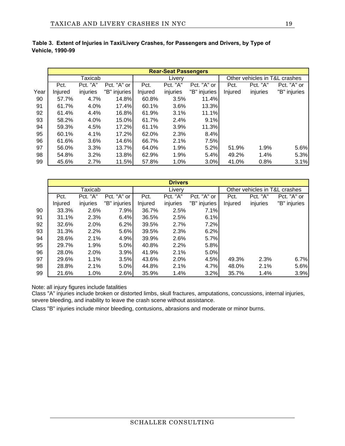|      |         |          |              | <b>Rear-Seat Passengers</b> |          |              |         |                               |              |  |
|------|---------|----------|--------------|-----------------------------|----------|--------------|---------|-------------------------------|--------------|--|
|      |         | Taxicab  |              |                             | Livery   |              |         | Other vehicles in T&L crashes |              |  |
|      | Pct.    | Pct. "A" | Pct. "A" or  | Pct.                        | Pct. "A" | Pct. "A" or  | Pct.    | Pct. "A"                      | Pct. "A" or  |  |
| Year | Injured | injuries | "B" injuries | Injured                     | injuries | "B" injuries | Injured | injuries                      | "B" injuries |  |
| 90   | 57.7%   | 4.7%     | 14.8%        | 60.8%                       | 3.5%     | 11.4%        |         |                               |              |  |
| 91   | 61.7%   | 4.0%     | 17.4%        | 60.1%                       | 3.6%     | 13.3%        |         |                               |              |  |
| 92   | 61.4%   | 4.4%     | 16.8%        | 61.9%                       | 3.1%     | 11.1%        |         |                               |              |  |
| 93   | 58.2%   | 4.0%     | 15.0%        | 61.7%                       | 2.4%     | 9.1%         |         |                               |              |  |
| 94   | 59.3%   | 4.5%     | 17.2%        | 61.1%                       | 3.9%     | 11.3%        |         |                               |              |  |
| 95   | 60.1%   | 4.1%     | 17.2%        | 62.0%                       | 2.3%     | 8.4%         |         |                               |              |  |
| 96   | 61.6%   | $3.6\%$  | 14.6%        | 66.7%                       | 2.1%     | 7.5%         |         |                               |              |  |
| 97   | 56.0%   | 3.3%     | 13.7%        | 64.0%                       | 1.9%     | 5.2%         | 51.9%   | 1.9%                          | 5.6%         |  |
| 98   | 54.8%   | 3.2%     | 13.8%        | 62.9%                       | 1.9%     | 5.4%         | 49.2%   | 1.4%                          | 5.3%         |  |
| 99   | 45.6%   | 2.7%     | 11.5%        | 57.8%                       | 1.0%     | 3.0%         | 41.0%   | 0.8%                          | 3.1%         |  |

|                         | Table 3. Extent of Injuries in Taxi/Livery Crashes, for Passengers and Drivers, by Type of |  |  |
|-------------------------|--------------------------------------------------------------------------------------------|--|--|
| <b>Vehicle, 1990-99</b> |                                                                                            |  |  |

|    | <b>Drivers</b> |          |              |         |          |              |                               |          |              |
|----|----------------|----------|--------------|---------|----------|--------------|-------------------------------|----------|--------------|
|    |                | Taxicab  |              |         | Livery   |              | Other vehicles in T&L crashes |          |              |
|    | Pct.           | Pct. "A" | Pct. "A" or  | Pct.    | Pct. "A" | Pct. "A" or  | Pct.                          | Pct. "A" | Pct. "A" or  |
|    | Injured        | injuries | "B" injuries | Injured | injuries | "B" injuries | Injured                       | injuries | "B" injuries |
| 90 | 33.3%          | 2.6%     | 7.9%         | 36.7%   | 2.5%     | 7.1%         |                               |          |              |
| 91 | 31.1%          | 2.3%     | 6.4%         | 36.5%   | 2.5%     | 6.1%         |                               |          |              |
| 92 | 32.6%          | 2.0%     | 6.2%         | 39.5%   | 2.7%     | 7.2%         |                               |          |              |
| 93 | 31.3%          | 2.2%     | 5.6%         | 39.5%   | 2.3%     | 6.2%         |                               |          |              |
| 94 | 28.6%          | 2.1%     | 4.9%         | 39.9%   | 2.6%     | 5.7%         |                               |          |              |
| 95 | 29.7%          | 1.9%     | 5.0%         | 40.8%   | 2.2%     | 5.8%         |                               |          |              |
| 96 | 28.0%          | 2.0%     | 3.9%         | 41.9%   | 2.1%     | 5.0%         |                               |          |              |
| 97 | 29.6%          | 1.1%     | 3.5%         | 43.6%   | 2.0%     | 4.5%         | 49.3%                         | 2.3%     | 6.7%         |
| 98 | 28.8%          | 2.1%     | 5.0%         | 44.8%   | 2.1%     | 4.7%         | 48.0%                         | 2.1%     | 5.6%         |
| 99 | 21.6%          | 1.0%     | 2.6%         | 35.9%   | 1.4%     | 3.2%         | 35.7%                         | 1.4%     | 3.9%         |

Note: all injury figures include fatalities

Class "A" injuries include broken or distorted limbs, skull fractures, amputations, concussions, internal injuries, severe bleeding, and inability to leave the crash scene without assistance.

Class "B" injuries include minor bleeding, contusions, abrasions and moderate or minor burns.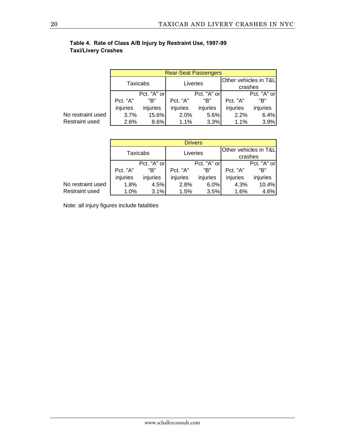|                       |                 | <b>Rear-Seat Passengers</b> |          |             |                       |             |  |  |  |
|-----------------------|-----------------|-----------------------------|----------|-------------|-----------------------|-------------|--|--|--|
|                       | <b>Taxicabs</b> |                             | Liveries |             | Other vehicles in T&L |             |  |  |  |
|                       |                 |                             |          |             | crashes               |             |  |  |  |
|                       | Pct. "A" or     |                             |          | Pct. "A" or |                       | Pct. "A" or |  |  |  |
|                       | Pct. "A"        | "B"                         | Pct. "A" | "B"         | Pct. "A"              | "B"         |  |  |  |
|                       | injuries        | injuries                    | injuries | injuries    | injuries              | injuries    |  |  |  |
| No restraint used     | 3.7%            | 15.6%                       | 2.0%     | 5.6%        | 2.2%                  | 6.4%        |  |  |  |
| <b>Restraint used</b> | 2.6%            | 8.6%                        | 1.1%     | 3.3%        | 1.1%                  | 3.9%        |  |  |  |

#### **Table 4. Rate of Class A/B Injury by Restraint Use, 1997-99 Taxi/Livery Crashes**

|                   |             | <b>Drivers</b> |          |             |                       |             |  |  |  |
|-------------------|-------------|----------------|----------|-------------|-----------------------|-------------|--|--|--|
|                   |             |                |          |             | Other vehicles in T&L |             |  |  |  |
|                   | Taxicabs    |                | Liveries |             | crashes               |             |  |  |  |
|                   | Pct. "A" or |                |          | Pct. "A" or |                       | Pct. "A" or |  |  |  |
|                   | Pct. "A"    | "B"            | Pct. "A" | "B"         | Pct. "A"              | "B"         |  |  |  |
|                   | injuries    | injuries       | injuries | injuries    | injuries              | injuries    |  |  |  |
| No restraint used | 1.8%        | 4.5%           | 2.8%     | 6.0%        | 4.3%                  | 10.4%       |  |  |  |
| Restraint used    | 1.0%        | 3.1%           | 1.5%     | 3.5%        | 1.6%                  | 4.6%        |  |  |  |

Note: all injury figures include fatalities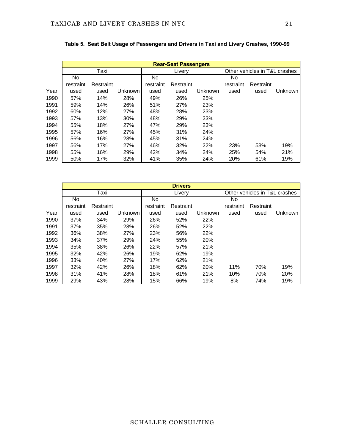|      |           | <b>Rear-Seat Passengers</b> |         |           |           |                |                               |           |         |  |  |
|------|-----------|-----------------------------|---------|-----------|-----------|----------------|-------------------------------|-----------|---------|--|--|
|      |           | Taxi                        |         |           | Livery    |                | Other vehicles in T&L crashes |           |         |  |  |
|      | No.       |                             |         | No.       |           |                | No                            |           |         |  |  |
|      | restraint | Restraint                   |         | restraint | Restraint |                | restraint                     | Restraint |         |  |  |
| Year | used      | used                        | Unknown | used      | used      | <b>Unknown</b> | used                          | used      | Unknown |  |  |
| 1990 | 57%       | 14%                         | 28%     | 49%       | 26%       | 25%            |                               |           |         |  |  |
| 1991 | 59%       | 14%                         | 26%     | 51%       | 27%       | 23%            |                               |           |         |  |  |
| 1992 | 60%       | 12%                         | 27%     | 48%       | 28%       | 23%            |                               |           |         |  |  |
| 1993 | 57%       | 13%                         | 30%     | 48%       | 29%       | 23%            |                               |           |         |  |  |
| 1994 | 55%       | 18%                         | 27%     | 47%       | 29%       | 23%            |                               |           |         |  |  |
| 1995 | 57%       | 16%                         | 27%     | 45%       | 31%       | 24%            |                               |           |         |  |  |
| 1996 | 56%       | 16%                         | 28%     | 45%       | 31%       | 24%            |                               |           |         |  |  |
| 1997 | 56%       | 17%                         | 27%     | 46%       | 32%       | 22%            | 23%                           | 58%       | 19%     |  |  |
| 1998 | 55%       | 16%                         | 29%     | 42%       | 34%       | 24%            | 25%                           | 54%       | 21%     |  |  |
| 1999 | 50%       | 17%                         | 32%     | 41%       | 35%       | 24%            | 20%                           | 61%       | 19%     |  |  |

|  |  |  |  |  | Table 5. Seat Belt Usage of Passengers and Drivers in Taxi and Livery Crashes, 1990-99 |
|--|--|--|--|--|----------------------------------------------------------------------------------------|
|--|--|--|--|--|----------------------------------------------------------------------------------------|

|      | <b>Drivers</b> |           |         |           |           |                |                               |           |                |
|------|----------------|-----------|---------|-----------|-----------|----------------|-------------------------------|-----------|----------------|
|      | Taxi           |           |         | Livery    |           |                | Other vehicles in T&L crashes |           |                |
|      | <b>No</b>      |           | No.     |           |           | <b>No</b>      |                               |           |                |
|      | restraint      | Restraint |         | restraint | Restraint |                | restraint                     | Restraint |                |
| Year | used           | used      | Unknown | used      | used      | <b>Unknown</b> | used                          | used      | <b>Unknown</b> |
| 1990 | 37%            | 34%       | 29%     | 26%       | 52%       | 22%            |                               |           |                |
| 1991 | 37%            | 35%       | 28%     | 26%       | 52%       | 22%            |                               |           |                |
| 1992 | 36%            | 38%       | 27%     | 23%       | 56%       | 22%            |                               |           |                |
| 1993 | 34%            | 37%       | 29%     | 24%       | 55%       | 20%            |                               |           |                |
| 1994 | 35%            | 38%       | 26%     | 22%       | 57%       | 21%            |                               |           |                |
| 1995 | 32%            | 42%       | 26%     | 19%       | 62%       | 19%            |                               |           |                |
| 1996 | 33%            | 40%       | 27%     | 17%       | 62%       | 21%            |                               |           |                |
| 1997 | 32%            | 42%       | 26%     | 18%       | 62%       | 20%            | 11%                           | 70%       | 19%            |
| 1998 | 31%            | 41%       | 28%     | 18%       | 61%       | 21%            | 10%                           | 70%       | 20%            |
| 1999 | 29%            | 43%       | 28%     | 15%       | 66%       | 19%            | 8%                            | 74%       | 19%            |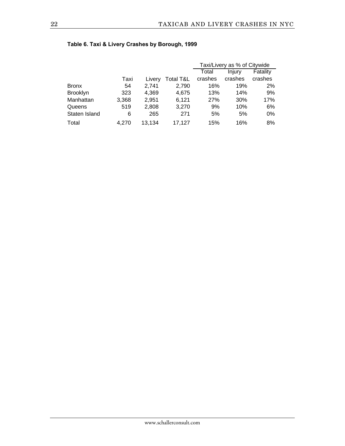|                 |       |        |           | Taxi/Livery as % of Citywide |         |          |
|-----------------|-------|--------|-----------|------------------------------|---------|----------|
|                 |       |        |           | Total                        | Injury  | Fatality |
|                 | Taxi  | Livery | Total T&L | crashes                      | crashes | crashes  |
| <b>Bronx</b>    | 54    | 2.741  | 2,790     | 16%                          | 19%     | 2%       |
| <b>Brooklyn</b> | 323   | 4,369  | 4.675     | 13%                          | 14%     | 9%       |
| Manhattan       | 3,368 | 2,951  | 6.121     | 27%                          | 30%     | 17%      |
| Queens          | 519   | 2,808  | 3,270     | 9%                           | 10%     | 6%       |
| Staten Island   | 6     | 265    | 271       | 5%                           | 5%      | $0\%$    |
| Total           | 4.270 | 13,134 | 17.127    | 15%                          | 16%     | 8%       |

#### **Table 6. Taxi & Livery Crashes by Borough, 1999**